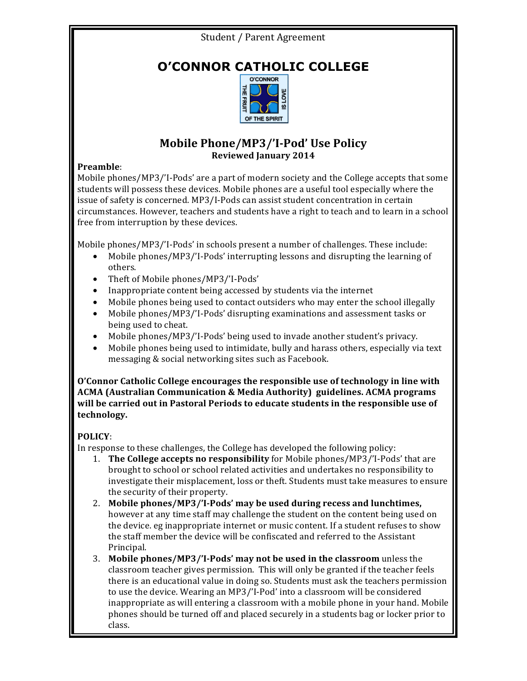### Student / Parent Agreement

## **O'CONNOR CATHOLIC COLLEGE**



#### **Mobile Phone/MP3/'I-Pod' Use Policy Reviewed January 2014**

#### **Preamble**:

Mobile phones/MP3/'I-Pods' are a part of modern society and the College accepts that some students will possess these devices. Mobile phones are a useful tool especially where the issue of safety is concerned. MP3/I-Pods can assist student concentration in certain circumstances. However, teachers and students have a right to teach and to learn in a school free from interruption by these devices.

Mobile phones/MP3/'I-Pods' in schools present a number of challenges. These include:

- Mobile phones/MP3/'I-Pods' interrupting lessons and disrupting the learning of others.
- Theft of Mobile phones/MP3/'I-Pods'
- Inappropriate content being accessed by students via the internet
- Mobile phones being used to contact outsiders who may enter the school illegally
- Mobile phones/MP3/'I-Pods' disrupting examinations and assessment tasks or being used to cheat.
- Mobile phones/MP3/'I-Pods' being used to invade another student's privacy.
- Mobile phones being used to intimidate, bully and harass others, especially via text messaging & social networking sites such as Facebook.

**O'Connor Catholic College encourages the responsible use of technology in line with ACMA** (Australian Communication & Media Authority) guidelines. ACMA programs will be carried out in Pastoral Periods to educate students in the responsible use of **technology.**

#### **POLICY**:

In response to these challenges, the College has developed the following policy:

- **1. The College accepts no responsibility** for Mobile phones/MP3/'I-Pods' that are brought to school or school related activities and undertakes no responsibility to investigate their misplacement, loss or theft. Students must take measures to ensure the security of their property.
- 2. Mobile phones/MP3/'I-Pods' may be used during recess and lunchtimes, however at any time staff may challenge the student on the content being used on the device. eg inappropriate internet or music content. If a student refuses to show the staff member the device will be confiscated and referred to the Assistant Principal.
- **3.** Mobile phones/MP3/'I-Pods' may not be used in the classroom unless the classroom teacher gives permission. This will only be granted if the teacher feels there is an educational value in doing so. Students must ask the teachers permission to use the device. Wearing an MP3/'I-Pod' into a classroom will be considered inappropriate as will entering a classroom with a mobile phone in your hand. Mobile phones should be turned off and placed securely in a students bag or locker prior to class.